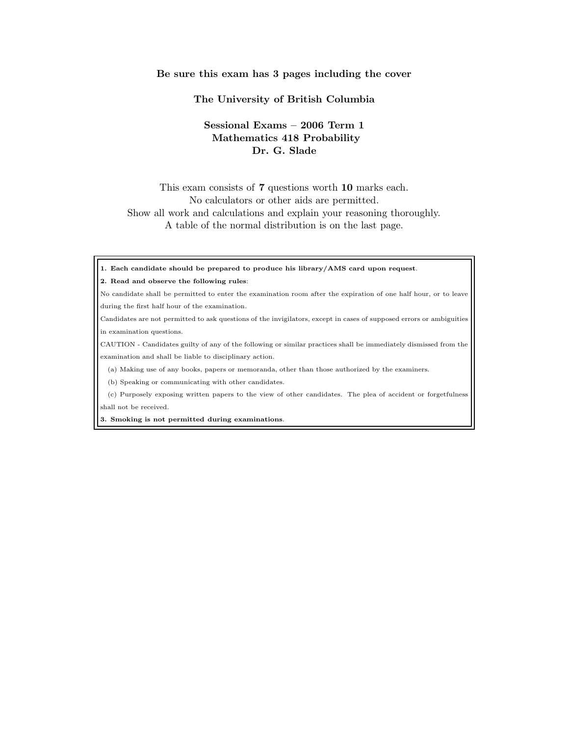## Be sure this exam has 3 pages including the cover

## The University of British Columbia

## Sessional Exams – 2006 Term 1 Mathematics 418 Probability Dr. G. Slade

This exam consists of 7 questions worth 10 marks each. No calculators or other aids are permitted. Show all work and calculations and explain your reasoning thoroughly. A table of the normal distribution is on the last page.

1. Each candidate should be prepared to produce his library/AMS card upon request.

## 2. Read and observe the following rules:

No candidate shall be permitted to enter the examination room after the expiration of one half hour, or to leave during the first half hour of the examination.

Candidates are not permitted to ask questions of the invigilators, except in cases of supposed errors or ambiguities in examination questions.

CAUTION - Candidates guilty of any of the following or similar practices shall be immediately dismissed from the examination and shall be liable to disciplinary action.

(a) Making use of any books, papers or memoranda, other than those authorized by the examiners.

(b) Speaking or communicating with other candidates.

(c) Purposely exposing written papers to the view of other candidates. The plea of accident or forgetfulness shall not be received.

3. Smoking is not permitted during examinations.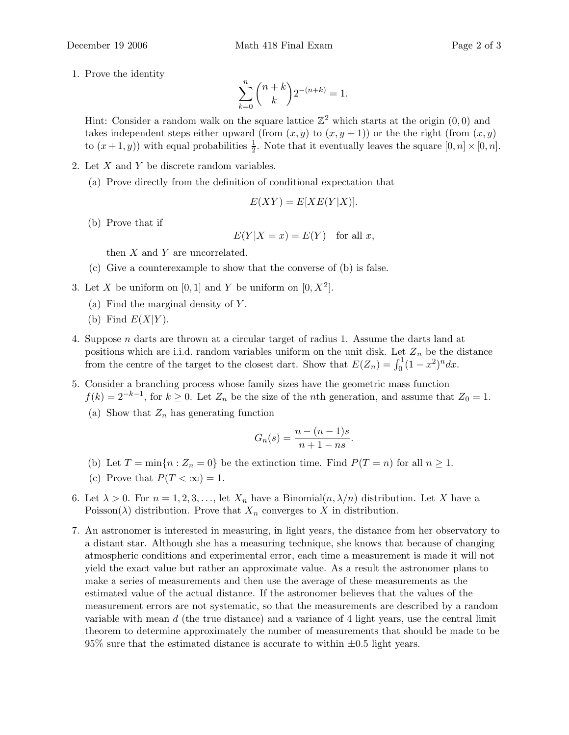1. Prove the identity

$$
\sum_{k=0}^{n} \binom{n+k}{k} 2^{-(n+k)} = 1.
$$

Hint: Consider a random walk on the square lattice  $\mathbb{Z}^2$  which starts at the origin  $(0,0)$  and takes independent steps either upward (from  $(x, y)$  to  $(x, y + 1)$ ) or the the right (from  $(x, y)$ ) to  $(x+1, y)$  with equal probabilities  $\frac{1}{2}$ . Note that it eventually leaves the square  $[0, n] \times [0, n]$ .

- 2. Let  $X$  and  $Y$  be discrete random variables.
	- (a) Prove directly from the definition of conditional expectation that

$$
E(XY) = E[XE(Y|X)].
$$

(b) Prove that if

$$
E(Y|X = x) = E(Y) \quad \text{for all } x,
$$

then  $X$  and  $Y$  are uncorrelated.

- (c) Give a counterexample to show that the converse of (b) is false.
- 3. Let X be uniform on  $[0,1]$  and Y be uniform on  $[0, X^2]$ .
	- (a) Find the marginal density of  $Y$ .
	- (b) Find  $E(X|Y)$ .
- 4. Suppose n darts are thrown at a circular target of radius 1. Assume the darts land at positions which are i.i.d. random variables uniform on the unit disk. Let  $Z_n$  be the distance from the centre of the target to the closest dart. Show that  $E(Z_n) = \int_0^1 (1 - x^2)^n dx$ .
- 5. Consider a branching process whose family sizes have the geometric mass function  $f(k) = 2^{-k-1}$ , for  $k \geq 0$ . Let  $Z_n$  be the size of the *n*th generation, and assume that  $Z_0 = 1$ .
	- (a) Show that  $Z_n$  has generating function

$$
G_n(s) = \frac{n - (n - 1)s}{n + 1 - ns}.
$$

- (b) Let  $T = \min\{n : Z_n = 0\}$  be the extinction time. Find  $P(T = n)$  for all  $n \ge 1$ .
- (c) Prove that  $P(T < \infty) = 1$ .
- 6. Let  $\lambda > 0$ . For  $n = 1, 2, 3, \ldots$ , let  $X_n$  have a Binomial $(n, \lambda/n)$  distribution. Let X have a Poisson( $\lambda$ ) distribution. Prove that  $X_n$  converges to X in distribution.
- 7. An astronomer is interested in measuring, in light years, the distance from her observatory to a distant star. Although she has a measuring technique, she knows that because of changing atmospheric conditions and experimental error, each time a measurement is made it will not yield the exact value but rather an approximate value. As a result the astronomer plans to make a series of measurements and then use the average of these measurements as the estimated value of the actual distance. If the astronomer believes that the values of the measurement errors are not systematic, so that the measurements are described by a random variable with mean  $d$  (the true distance) and a variance of 4 light years, use the central limit theorem to determine approximately the number of measurements that should be made to be 95% sure that the estimated distance is accurate to within  $\pm 0.5$  light years.